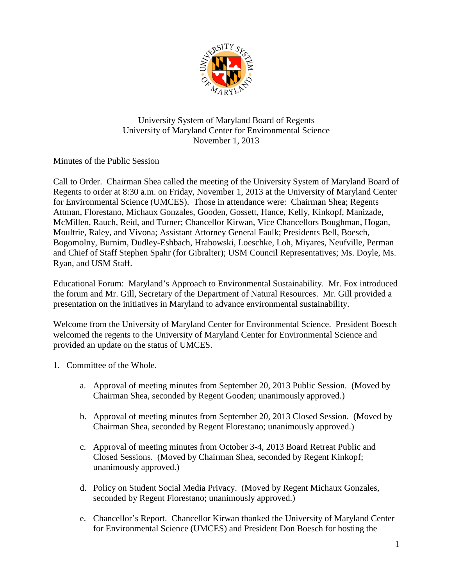

## University System of Maryland Board of Regents University of Maryland Center for Environmental Science November 1, 2013

Minutes of the Public Session

Call to Order. Chairman Shea called the meeting of the University System of Maryland Board of Regents to order at 8:30 a.m. on Friday, November 1, 2013 at the University of Maryland Center for Environmental Science (UMCES). Those in attendance were: Chairman Shea; Regents Attman, Florestano, Michaux Gonzales, Gooden, Gossett, Hance, Kelly, Kinkopf, Manizade, McMillen, Rauch, Reid, and Turner; Chancellor Kirwan, Vice Chancellors Boughman, Hogan, Moultrie, Raley, and Vivona; Assistant Attorney General Faulk; Presidents Bell, Boesch, Bogomolny, Burnim, Dudley-Eshbach, Hrabowski, Loeschke, Loh, Miyares, Neufville, Perman and Chief of Staff Stephen Spahr (for Gibralter); USM Council Representatives; Ms. Doyle, Ms. Ryan, and USM Staff.

Educational Forum: Maryland's Approach to Environmental Sustainability. Mr. Fox introduced the forum and Mr. Gill, Secretary of the Department of Natural Resources. Mr. Gill provided a presentation on the initiatives in Maryland to advance environmental sustainability.

Welcome from the University of Maryland Center for Environmental Science. President Boesch welcomed the regents to the University of Maryland Center for Environmental Science and provided an update on the status of UMCES.

- 1. Committee of the Whole.
	- a. Approval of meeting minutes from September 20, 2013 Public Session. (Moved by Chairman Shea, seconded by Regent Gooden; unanimously approved.)
	- b. Approval of meeting minutes from September 20, 2013 Closed Session. (Moved by Chairman Shea, seconded by Regent Florestano; unanimously approved.)
	- c. Approval of meeting minutes from October 3-4, 2013 Board Retreat Public and Closed Sessions. (Moved by Chairman Shea, seconded by Regent Kinkopf; unanimously approved.)
	- d. Policy on Student Social Media Privacy. (Moved by Regent Michaux Gonzales, seconded by Regent Florestano; unanimously approved.)
	- e. Chancellor's Report. Chancellor Kirwan thanked the University of Maryland Center for Environmental Science (UMCES) and President Don Boesch for hosting the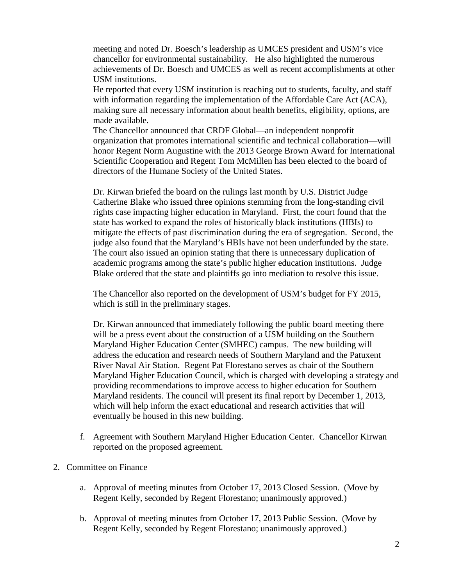meeting and noted Dr. Boesch's leadership as UMCES president and USM's vice chancellor for environmental sustainability. He also highlighted the numerous achievements of Dr. Boesch and UMCES as well as recent accomplishments at other USM institutions.

He reported that every USM institution is reaching out to students, faculty, and staff with information regarding the implementation of the Affordable Care Act (ACA), making sure all necessary information about health benefits, eligibility, options, are made available.

The Chancellor announced that CRDF Global—an independent nonprofit organization that promotes international scientific and technical collaboration—will honor Regent Norm Augustine with the 2013 George Brown Award for International Scientific Cooperation and Regent Tom McMillen has been elected to the board of directors of the Humane Society of the United States.

Dr. Kirwan briefed the board on the rulings last month by U.S. District Judge Catherine Blake who issued three opinions stemming from the long-standing civil rights case impacting higher education in Maryland. First, the court found that the state has worked to expand the roles of historically black institutions (HBIs) to mitigate the effects of past discrimination during the era of segregation. Second, the judge also found that the Maryland's HBIs have not been underfunded by the state. The court also issued an opinion stating that there is unnecessary duplication of academic programs among the state's public higher education institutions. Judge Blake ordered that the state and plaintiffs go into mediation to resolve this issue.

The Chancellor also reported on the development of USM's budget for FY 2015, which is still in the preliminary stages.

Dr. Kirwan announced that immediately following the public board meeting there will be a press event about the construction of a USM building on the Southern Maryland Higher Education Center (SMHEC) campus. The new building will address the education and research needs of Southern Maryland and the Patuxent River Naval Air Station. Regent Pat Florestano serves as chair of the Southern Maryland Higher Education Council, which is charged with developing a strategy and providing recommendations to improve access to higher education for Southern Maryland residents. The council will present its final report by December 1, 2013, which will help inform the exact educational and research activities that will eventually be housed in this new building.

- f. Agreement with Southern Maryland Higher Education Center. Chancellor Kirwan reported on the proposed agreement.
- 2. Committee on Finance
	- a. Approval of meeting minutes from October 17, 2013 Closed Session. (Move by Regent Kelly, seconded by Regent Florestano; unanimously approved.)
	- b. Approval of meeting minutes from October 17, 2013 Public Session. (Move by Regent Kelly, seconded by Regent Florestano; unanimously approved.)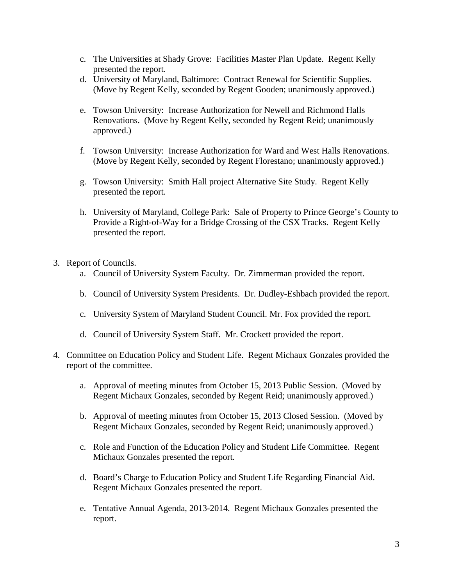- c. The Universities at Shady Grove: Facilities Master Plan Update. Regent Kelly presented the report.
- d. University of Maryland, Baltimore: Contract Renewal for Scientific Supplies. (Move by Regent Kelly, seconded by Regent Gooden; unanimously approved.)
- e. Towson University: Increase Authorization for Newell and Richmond Halls Renovations. (Move by Regent Kelly, seconded by Regent Reid; unanimously approved.)
- f. Towson University: Increase Authorization for Ward and West Halls Renovations. (Move by Regent Kelly, seconded by Regent Florestano; unanimously approved.)
- g. Towson University: Smith Hall project Alternative Site Study. Regent Kelly presented the report.
- h. University of Maryland, College Park: Sale of Property to Prince George's County to Provide a Right-of-Way for a Bridge Crossing of the CSX Tracks. Regent Kelly presented the report.
- 3. Report of Councils.
	- a. Council of University System Faculty. Dr. Zimmerman provided the report.
	- b. Council of University System Presidents. Dr. Dudley-Eshbach provided the report.
	- c. University System of Maryland Student Council. Mr. Fox provided the report.
	- d. Council of University System Staff. Mr. Crockett provided the report.
- 4. Committee on Education Policy and Student Life. Regent Michaux Gonzales provided the report of the committee.
	- a. Approval of meeting minutes from October 15, 2013 Public Session. (Moved by Regent Michaux Gonzales, seconded by Regent Reid; unanimously approved.)
	- b. Approval of meeting minutes from October 15, 2013 Closed Session. (Moved by Regent Michaux Gonzales, seconded by Regent Reid; unanimously approved.)
	- c. Role and Function of the Education Policy and Student Life Committee. Regent Michaux Gonzales presented the report.
	- d. Board's Charge to Education Policy and Student Life Regarding Financial Aid. Regent Michaux Gonzales presented the report.
	- e. Tentative Annual Agenda, 2013-2014. Regent Michaux Gonzales presented the report.